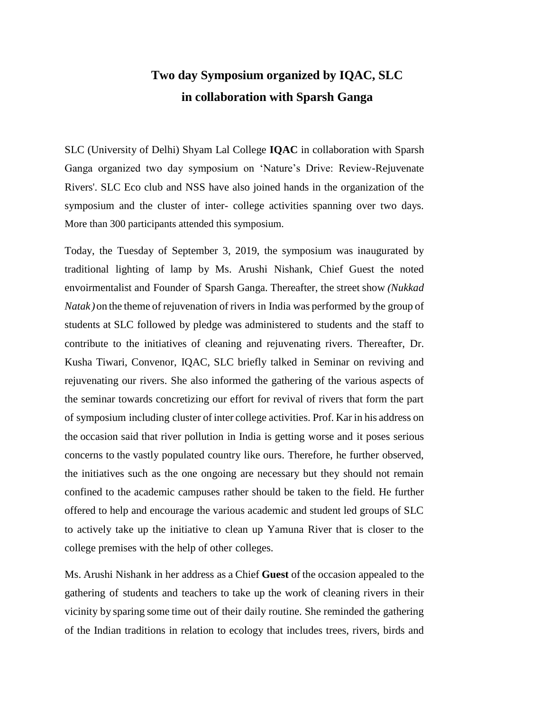## **Two day Symposium organized by IQAC, SLC in collaboration with Sparsh Ganga**

SLC (University of Delhi) Shyam Lal College **IQAC** in collaboration with Sparsh Ganga organized two day symposium on 'Nature's Drive: Review-Rejuvenate Rivers'. SLC Eco club and NSS have also joined hands in the organization of the symposium and the cluster of inter- college activities spanning over two days. More than 300 participants attended this symposium.

Today, the Tuesday of September 3, 2019, the symposium was inaugurated by traditional lighting of lamp by Ms. Arushi Nishank, Chief Guest the noted envoirmentalist and Founder of Sparsh Ganga. Thereafter, the street show *(Nukkad Natak)*on the theme of rejuvenation of rivers in India was performed by the group of students at SLC followed by pledge was administered to students and the staff to contribute to the initiatives of cleaning and rejuvenating rivers. Thereafter, Dr. Kusha Tiwari, Convenor, IQAC, SLC briefly talked in Seminar on reviving and rejuvenating our rivers. She also informed the gathering of the various aspects of the seminar towards concretizing our effort for revival of rivers that form the part of symposium including cluster of inter college activities. Prof. Kar in his address on the occasion said that river pollution in India is getting worse and it poses serious concerns to the vastly populated country like ours. Therefore, he further observed, the initiatives such as the one ongoing are necessary but they should not remain confined to the academic campuses rather should be taken to the field. He further offered to help and encourage the various academic and student led groups of SLC to actively take up the initiative to clean up Yamuna River that is closer to the college premises with the help of other colleges.

Ms. Arushi Nishank in her address as a Chief **Guest** of the occasion appealed to the gathering of students and teachers to take up the work of cleaning rivers in their vicinity by sparing some time out of their daily routine. She reminded the gathering of the Indian traditions in relation to ecology that includes trees, rivers, birds and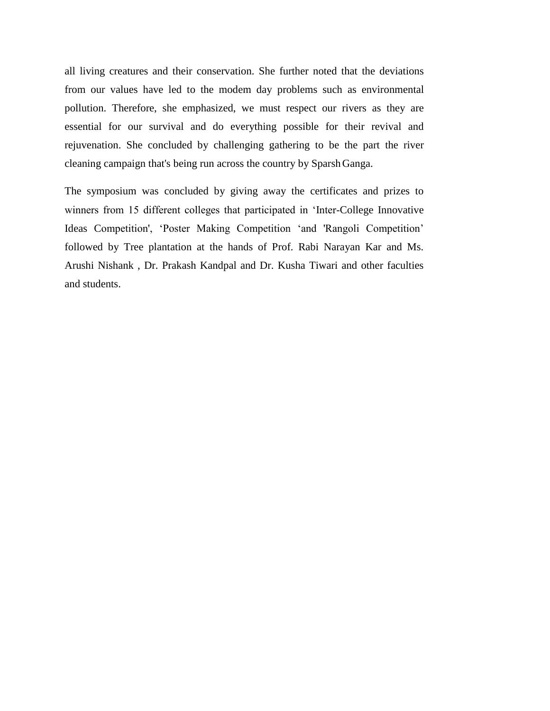all living creatures and their conservation. She further noted that the deviations from our values have led to the modem day problems such as environmental pollution. Therefore, she emphasized, we must respect our rivers as they are essential for our survival and do everything possible for their revival and rejuvenation. She concluded by challenging gathering to be the part the river cleaning campaign that's being run across the country by SparshGanga.

The symposium was concluded by giving away the certificates and prizes to winners from 15 different colleges that participated in 'Inter-College Innovative Ideas Competition', 'Poster Making Competition 'and 'Rangoli Competition' followed by Tree plantation at the hands of Prof. Rabi Narayan Kar and Ms. Arushi Nishank , Dr. Prakash Kandpal and Dr. Kusha Tiwari and other faculties and students.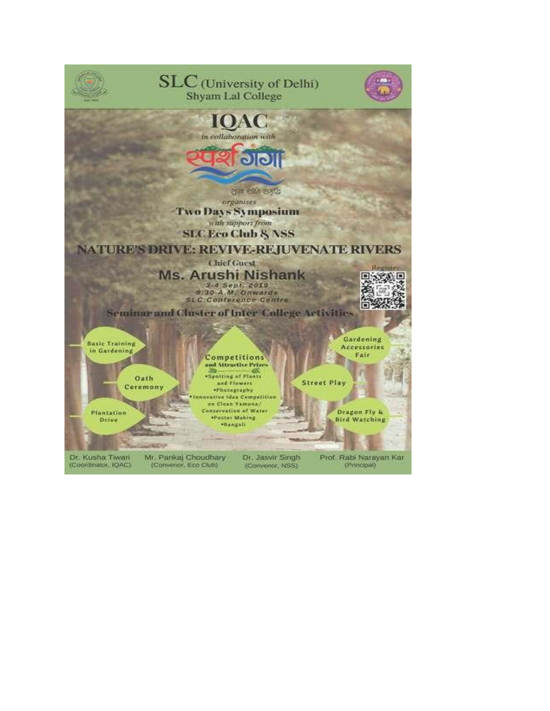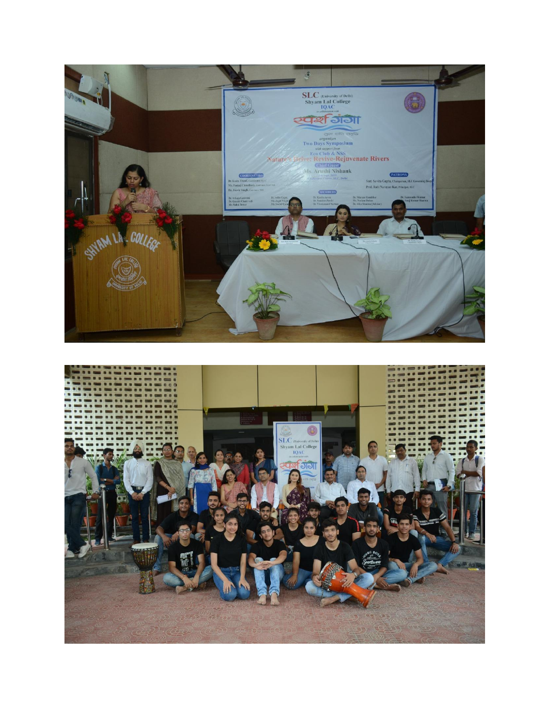